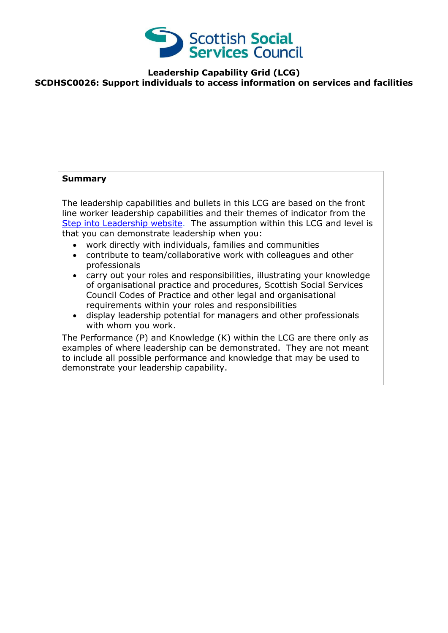

**Leadership Capability Grid (LCG)**

**SCDHSC0026: Support individuals to access information on services and facilities** 

## **Summary**

The leadership capabilities and bullets in this LCG are based on the front line worker leadership capabilities and their themes of indicator from the [Step into Leadership website.](http://www.stepintoleadership.info/) The assumption within this LCG and level is that you can demonstrate leadership when you:

- work directly with individuals, families and communities
- contribute to team/collaborative work with colleagues and other professionals
- carry out your roles and responsibilities, illustrating your knowledge of organisational practice and procedures, Scottish Social Services Council Codes of Practice and other legal and organisational requirements within your roles and responsibilities
- display leadership potential for managers and other professionals with whom you work.

The Performance (P) and Knowledge (K) within the LCG are there only as examples of where leadership can be demonstrated. They are not meant to include all possible performance and knowledge that may be used to demonstrate your leadership capability.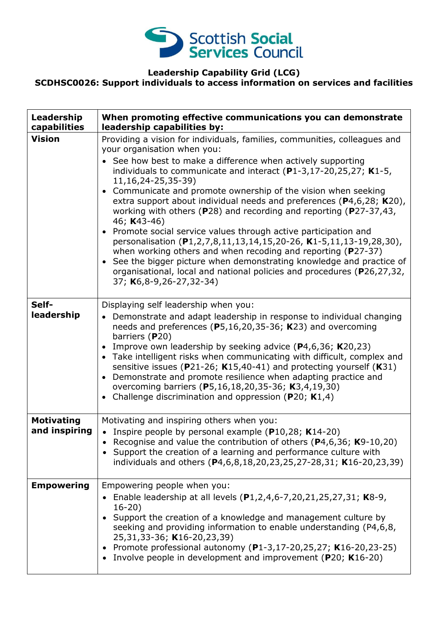

## **Leadership Capability Grid (LCG)**

**SCDHSC0026: Support individuals to access information on services and facilities** 

| Leadership<br>capabilities         | When promoting effective communications you can demonstrate<br>leadership capabilities by:                                                                                                                                                                                                                                                                                                                                                                                                                                                                                                                                                                                                                                                                                                                                                                                                         |
|------------------------------------|----------------------------------------------------------------------------------------------------------------------------------------------------------------------------------------------------------------------------------------------------------------------------------------------------------------------------------------------------------------------------------------------------------------------------------------------------------------------------------------------------------------------------------------------------------------------------------------------------------------------------------------------------------------------------------------------------------------------------------------------------------------------------------------------------------------------------------------------------------------------------------------------------|
| <b>Vision</b>                      | Providing a vision for individuals, families, communities, colleagues and<br>your organisation when you:<br>• See how best to make a difference when actively supporting<br>individuals to communicate and interact $(P1-3, 17-20, 25, 27; K1-5,$<br>11, 16, 24 - 25, 35 - 39)<br>• Communicate and promote ownership of the vision when seeking<br>extra support about individual needs and preferences (P4,6,28; K20),<br>working with others (P28) and recording and reporting (P27-37,43,<br>46; K43-46)<br>• Promote social service values through active participation and<br>personalisation (P1,2,7,8,11,13,14,15,20-26, K1-5,11,13-19,28,30),<br>when working others and when recoding and reporting (P27-37)<br>See the bigger picture when demonstrating knowledge and practice of<br>organisational, local and national policies and procedures (P26,27,32,<br>37; K6,8-9,26-27,32-34) |
| Self-<br>leadership                | Displaying self leadership when you:<br>• Demonstrate and adapt leadership in response to individual changing<br>needs and preferences (P5,16,20,35-36; K23) and overcoming<br>barriers (P20)<br>Improve own leadership by seeking advice ( $P4,6,36$ ; K20,23)<br>• Take intelligent risks when communicating with difficult, complex and<br>sensitive issues (P21-26; K15,40-41) and protecting yourself (K31)<br>• Demonstrate and promote resilience when adapting practice and<br>overcoming barriers (P5,16,18,20,35-36; K3,4,19,30)<br>• Challenge discrimination and oppression (P20; $K1,4$ )                                                                                                                                                                                                                                                                                             |
| <b>Motivating</b><br>and inspiring | Motivating and inspiring others when you:<br>• Inspire people by personal example ( $P10,28$ ; K14-20)<br>Recognise and value the contribution of others ( $P4,6,36$ ; K9-10,20)<br>• Support the creation of a learning and performance culture with<br>individuals and others (P4,6,8,18,20,23,25,27-28,31; K16-20,23,39)                                                                                                                                                                                                                                                                                                                                                                                                                                                                                                                                                                        |
| <b>Empowering</b>                  | Empowering people when you:<br>Enable leadership at all levels (P1,2,4,6-7,20,21,25,27,31; K8-9,<br>$16-20)$<br>• Support the creation of a knowledge and management culture by<br>seeking and providing information to enable understanding (P4,6,8,<br>25,31,33-36; K16-20,23,39)<br>• Promote professional autonomy (P1-3,17-20,25,27; K16-20,23-25)<br>• Involve people in development and improvement (P20; K16-20)                                                                                                                                                                                                                                                                                                                                                                                                                                                                           |